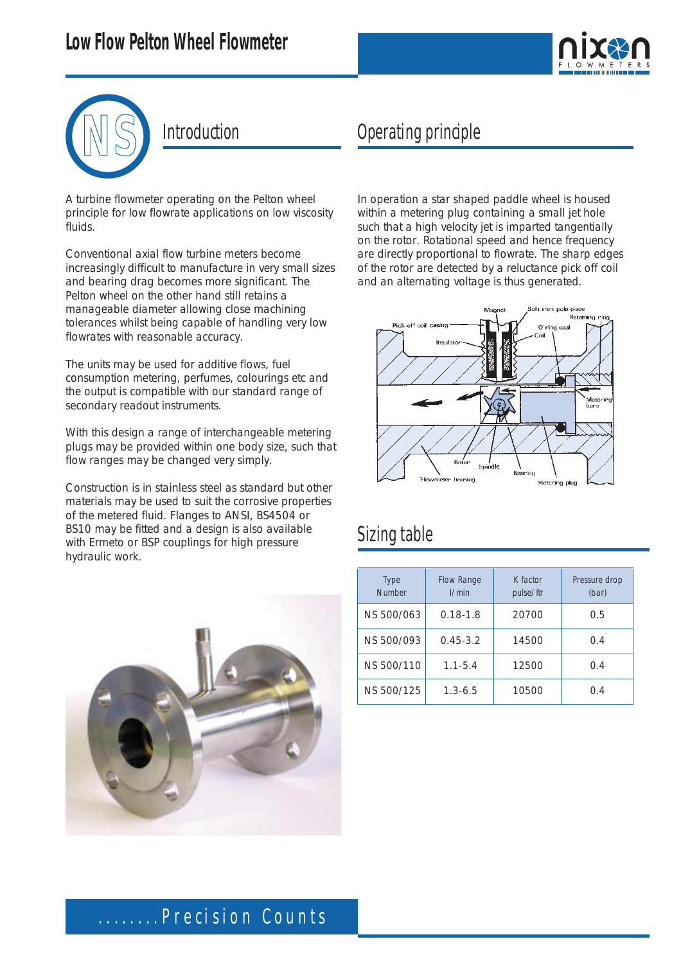



#### Introduction

A turbine flowmeter operating on the Pelton wheel principle for low flowrate applications on low viscosity fluids.

Conventional axial flow turbine meters become increasingly difficult to manufacture in very small sizes and bearing drag becomes more significant. The Pelton wheel on the other hand still retains a manageable diameter allowing close machining tolerances whilst being capable of handling very low flowrates with reasonable accuracy.

The units may be used for additive flows, fuel consumption metering, perfumes, colourings etc and the output is compatible with our standard range of secondary readout instruments.

With this design a range of interchangeable metering plugs may be provided within one body size, such that flow ranges may be changed very simply.

Construction is in stainless steel as standard but other materials may be used to suit the corrosive properties of the metered fluid. Flanges to ANSI, BS4504 or BS10 may be fitted and a design is also available with Ermeto or BSP couplings for high pressure hydraulic work.



### Operating principle

In operation a star shaped paddle wheel is housed within a metering plug containing a small jet hole such that a high velocity jet is imparted tangentially on the rotor. Rotational speed and hence frequency are directly proportional to flowrate. The sharp edges of the rotor are detected by a reluctance pick off coil and an alternating voltage is thus generated.



#### Sizing table

| <b>Type</b><br><b>Number</b> | <b>Flow Range</b><br>1/min | K factor<br>pulse/ltr | Pressure drop<br>(bar) |
|------------------------------|----------------------------|-----------------------|------------------------|
| NS 500/063                   | $0.18 - 1.8$               | 20700                 | 0.5                    |
| NS 500/093                   | $0.45 - 3.2$               | 14500                 | 0.4                    |
| NS 500/110                   | $1.1 - 5.4$                | 12500                 | 0.4                    |
| NS 500/125                   | $1.3 - 6.5$                | 10500                 | 0.4                    |

## ........Precision Counts